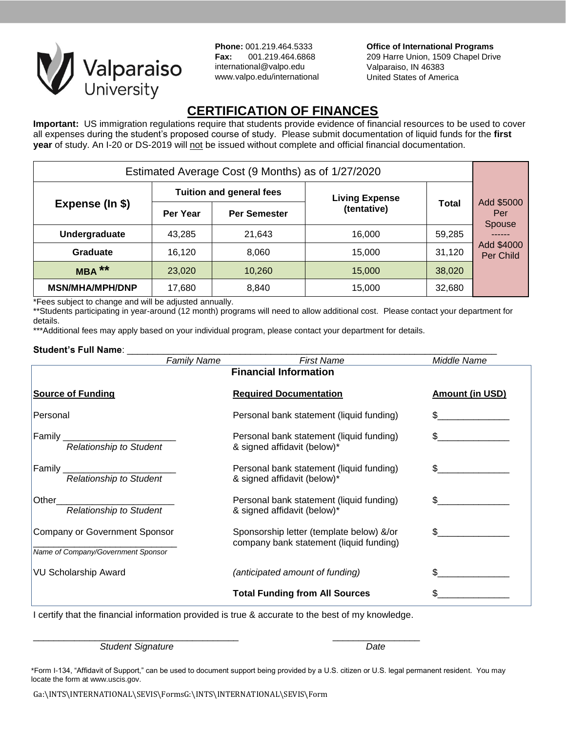

**Phone:** 001.219.464.5333 **Fax:** 001.219.464.6868 international@valpo.edu www.valpo.edu/international **Office of International Programs** 209 Harre Union, 1509 Chapel Drive Valparaiso, IN 46383 United States of America

# **CERTIFICATION OF FINANCES**

**Important:** US immigration regulations require that students provide evidence of financial resources to be used to cover all expenses during the student's proposed course of study. Please submit documentation of liquid funds for the **first year** of study. An I-20 or DS-2019 will not be issued without complete and official financial documentation.

| Estimated Average Cost (9 Months) as of 1/27/2020 |                                 |                     |                       |              |                                    |
|---------------------------------------------------|---------------------------------|---------------------|-----------------------|--------------|------------------------------------|
| Expense (In \$)                                   | <b>Tuition and general fees</b> |                     | <b>Living Expense</b> |              |                                    |
|                                                   | Per Year                        | <b>Per Semester</b> | (tentative)           | <b>Total</b> | Add \$5000<br>Per<br><b>Spouse</b> |
| Undergraduate                                     | 43.285                          | 21,643              | 16.000                | 59,285       |                                    |
| Graduate                                          | 16.120                          | 8,060               | 15,000                | 31,120       | Add \$4000<br>Per Child            |
| $MBA***$                                          | 23,020                          | 10,260              | 15,000                | 38,020       |                                    |
| <b>MSN/MHA/MPH/DNP</b>                            | 17,680                          | 8,840               | 15,000                | 32,680       |                                    |

\*Fees subject to change and will be adjusted annually.

\*\*Students participating in year-around (12 month) programs will need to allow additional cost. Please contact your department for details.

\*\*\*Additional fees may apply based on your individual program, please contact your department for details.

## Student's Full Name:

| <b>Family Name</b>                                                  | <b>First Name</b>                                                                   | Middle Name            |
|---------------------------------------------------------------------|-------------------------------------------------------------------------------------|------------------------|
|                                                                     | <b>Financial Information</b>                                                        |                        |
| <b>Source of Funding</b>                                            | <b>Required Documentation</b>                                                       | <b>Amount (in USD)</b> |
| Personal                                                            | Personal bank statement (liquid funding)                                            | \$                     |
| Family<br>Relationship to Student                                   | Personal bank statement (liquid funding)<br>& signed affidavit (below)*             | $\mathbb S$            |
| <b>Relationship to Student</b>                                      | Personal bank statement (liquid funding)<br>& signed affidavit (below)*             |                        |
| Other<br><b>Relationship to Student</b>                             | Personal bank statement (liquid funding)<br>& signed affidavit (below)*             | \$.                    |
| Company or Government Sponsor<br>Name of Company/Government Sponsor | Sponsorship letter (template below) &/or<br>company bank statement (liquid funding) |                        |
| <b>VU Scholarship Award</b>                                         | (anticipated amount of funding)                                                     |                        |
|                                                                     | <b>Total Funding from All Sources</b>                                               |                        |

I certify that the financial information provided is true & accurate to the best of my knowledge.

\_\_\_\_\_\_\_\_\_\_\_\_\_\_\_\_\_\_\_\_\_\_\_\_\_\_\_\_\_\_\_\_\_\_\_\_\_\_\_\_ \_\_\_\_\_\_\_\_\_\_\_\_\_\_\_\_\_

## *Student Signature Date*

\*Form I-134, "Affidavit of Support," can be used to document support being provided by a U.S. citizen or U.S. legal permanent resident. You may locate the form at www.uscis.gov.

Ga:\INTS\INTERNATIONAL\SEVIS\FormsG:\INTS\INTERNATIONAL\SEVIS\Form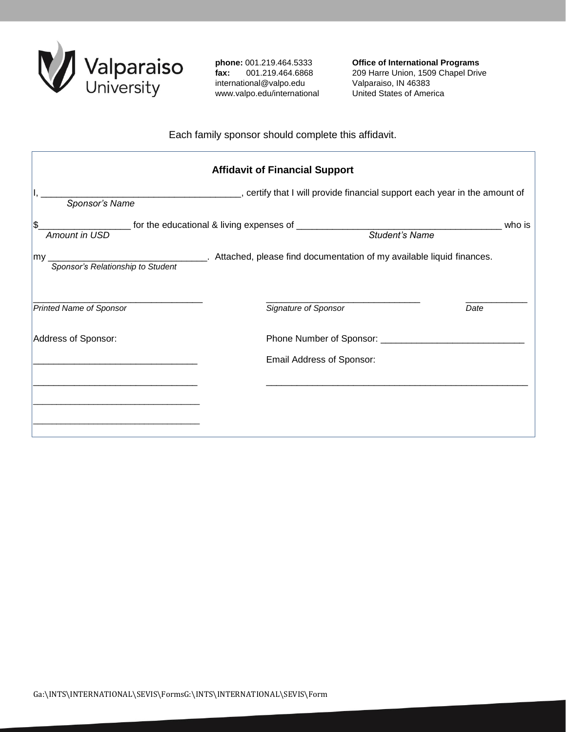

**phone:** 001.219.464.5333 **fax:** 001.219.464.6868 international@valpo.edu www.valpo.edu/international **Office of International Programs** 209 Harre Union, 1509 Chapel Drive Valparaiso, IN 46383 United States of America

## Each family sponsor should complete this affidavit.

| <b>Affidavit of Financial Support</b> |                                                                                                                  |      |  |  |  |
|---------------------------------------|------------------------------------------------------------------------------------------------------------------|------|--|--|--|
| Sponsor's Name                        | _________, certify that I will provide financial support each year in the amount of                              |      |  |  |  |
| \$<br>Amount in USD                   | who is                                                                                                           |      |  |  |  |
| my.                                   | Sponsor's Relationship to Student ________. Attached, please find documentation of my available liquid finances. |      |  |  |  |
| <b>Printed Name of Sponsor</b>        | Signature of Sponsor                                                                                             | Date |  |  |  |
| Address of Sponsor:                   | Phone Number of Sponsor: ___________                                                                             |      |  |  |  |
|                                       | Email Address of Sponsor:                                                                                        |      |  |  |  |
|                                       |                                                                                                                  |      |  |  |  |
|                                       |                                                                                                                  |      |  |  |  |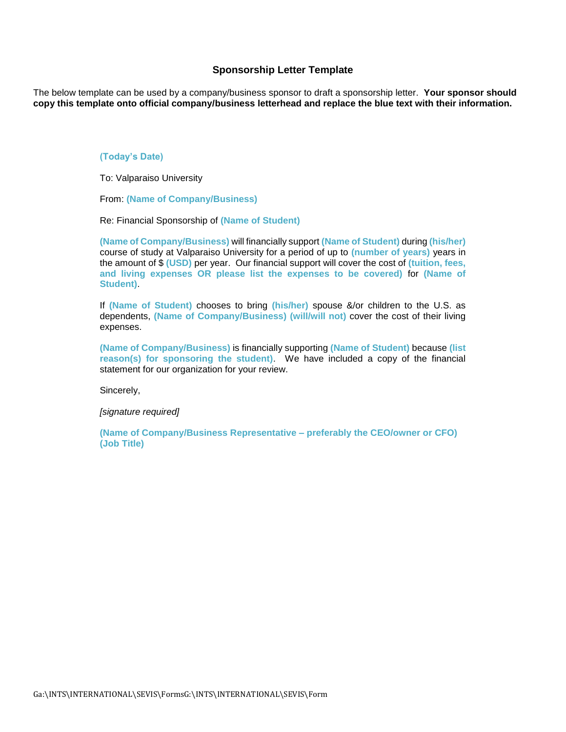## **Sponsorship Letter Template**

The below template can be used by a company/business sponsor to draft a sponsorship letter. **Your sponsor should copy this template onto official company/business letterhead and replace the blue text with their information.**

#### **(Today's Date)**

To: Valparaiso University

From: **(Name of Company/Business)**

Re: Financial Sponsorship of **(Name of Student)**

**(Name of Company/Business)** will financially support **(Name of Student)** during **(his/her)**  course of study at Valparaiso University for a period of up to **(number of years)** years in the amount of \$ **(USD)** per year. Our financial support will cover the cost of **(tuition, fees, and living expenses OR please list the expenses to be covered)** for **(Name of Student)**.

If **(Name of Student)** chooses to bring **(his/her)** spouse &/or children to the U.S. as dependents, **(Name of Company/Business) (will/will not)** cover the cost of their living expenses.

**(Name of Company/Business)** is financially supporting **(Name of Student)** because **(list reason(s) for sponsoring the student)**. We have included a copy of the financial statement for our organization for your review.

Sincerely,

*[signature required]*

**(Name of Company/Business Representative – preferably the CEO/owner or CFO) (Job Title)**